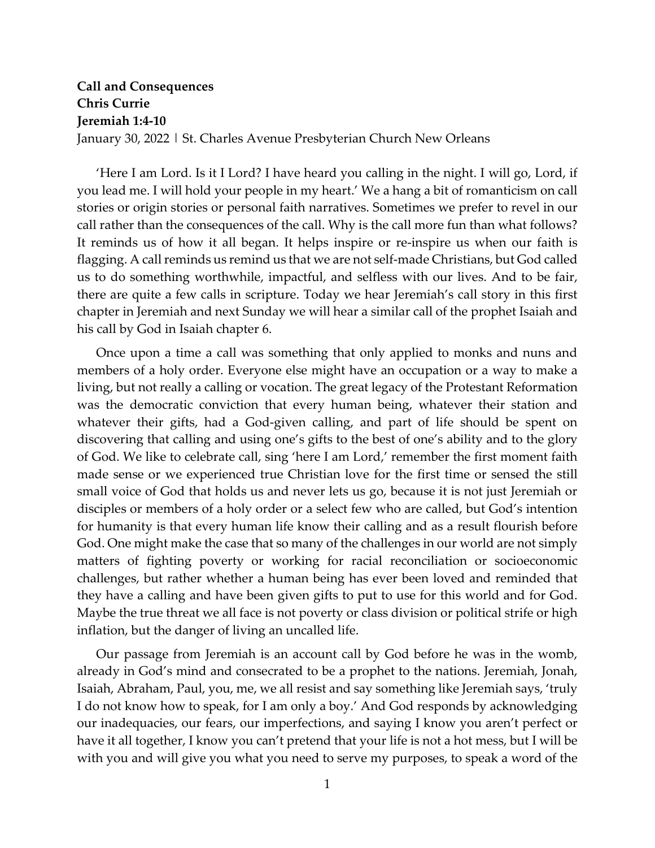## **Call and Consequences Chris Currie Jeremiah 1:4-10**

January 30, 2022 | St. Charles Avenue Presbyterian Church New Orleans

'Here I am Lord. Is it I Lord? I have heard you calling in the night. I will go, Lord, if you lead me. I will hold your people in my heart.' We a hang a bit of romanticism on call stories or origin stories or personal faith narratives. Sometimes we prefer to revel in our call rather than the consequences of the call. Why is the call more fun than what follows? It reminds us of how it all began. It helps inspire or re-inspire us when our faith is flagging. A call reminds us remind us that we are not self-made Christians, but God called us to do something worthwhile, impactful, and selfless with our lives. And to be fair, there are quite a few calls in scripture. Today we hear Jeremiah's call story in this first chapter in Jeremiah and next Sunday we will hear a similar call of the prophet Isaiah and his call by God in Isaiah chapter 6.

Once upon a time a call was something that only applied to monks and nuns and members of a holy order. Everyone else might have an occupation or a way to make a living, but not really a calling or vocation. The great legacy of the Protestant Reformation was the democratic conviction that every human being, whatever their station and whatever their gifts, had a God-given calling, and part of life should be spent on discovering that calling and using one's gifts to the best of one's ability and to the glory of God. We like to celebrate call, sing 'here I am Lord,' remember the first moment faith made sense or we experienced true Christian love for the first time or sensed the still small voice of God that holds us and never lets us go, because it is not just Jeremiah or disciples or members of a holy order or a select few who are called, but God's intention for humanity is that every human life know their calling and as a result flourish before God. One might make the case that so many of the challenges in our world are not simply matters of fighting poverty or working for racial reconciliation or socioeconomic challenges, but rather whether a human being has ever been loved and reminded that they have a calling and have been given gifts to put to use for this world and for God. Maybe the true threat we all face is not poverty or class division or political strife or high inflation, but the danger of living an uncalled life.

Our passage from Jeremiah is an account call by God before he was in the womb, already in God's mind and consecrated to be a prophet to the nations. Jeremiah, Jonah, Isaiah, Abraham, Paul, you, me, we all resist and say something like Jeremiah says, 'truly I do not know how to speak, for I am only a boy.' And God responds by acknowledging our inadequacies, our fears, our imperfections, and saying I know you aren't perfect or have it all together, I know you can't pretend that your life is not a hot mess, but I will be with you and will give you what you need to serve my purposes, to speak a word of the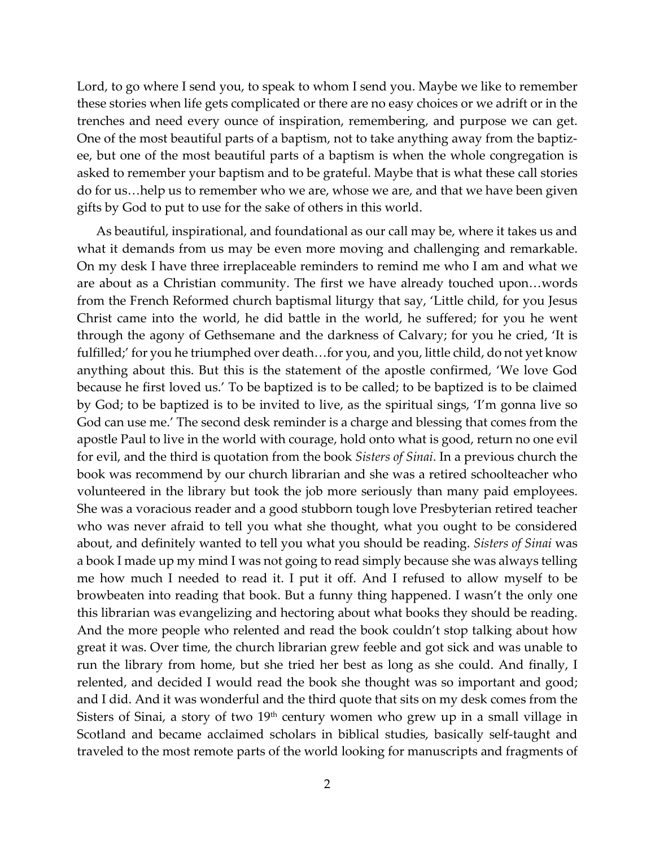Lord, to go where I send you, to speak to whom I send you. Maybe we like to remember these stories when life gets complicated or there are no easy choices or we adrift or in the trenches and need every ounce of inspiration, remembering, and purpose we can get. One of the most beautiful parts of a baptism, not to take anything away from the baptizee, but one of the most beautiful parts of a baptism is when the whole congregation is asked to remember your baptism and to be grateful. Maybe that is what these call stories do for us…help us to remember who we are, whose we are, and that we have been given gifts by God to put to use for the sake of others in this world.

As beautiful, inspirational, and foundational as our call may be, where it takes us and what it demands from us may be even more moving and challenging and remarkable. On my desk I have three irreplaceable reminders to remind me who I am and what we are about as a Christian community. The first we have already touched upon…words from the French Reformed church baptismal liturgy that say, 'Little child, for you Jesus Christ came into the world, he did battle in the world, he suffered; for you he went through the agony of Gethsemane and the darkness of Calvary; for you he cried, 'It is fulfilled;' for you he triumphed over death…for you, and you, little child, do not yet know anything about this. But this is the statement of the apostle confirmed, 'We love God because he first loved us.' To be baptized is to be called; to be baptized is to be claimed by God; to be baptized is to be invited to live, as the spiritual sings, 'I'm gonna live so God can use me.' The second desk reminder is a charge and blessing that comes from the apostle Paul to live in the world with courage, hold onto what is good, return no one evil for evil, and the third is quotation from the book *Sisters of Sinai*. In a previous church the book was recommend by our church librarian and she was a retired schoolteacher who volunteered in the library but took the job more seriously than many paid employees. She was a voracious reader and a good stubborn tough love Presbyterian retired teacher who was never afraid to tell you what she thought, what you ought to be considered about, and definitely wanted to tell you what you should be reading. *Sisters of Sinai* was a book I made up my mind I was not going to read simply because she was always telling me how much I needed to read it. I put it off. And I refused to allow myself to be browbeaten into reading that book. But a funny thing happened. I wasn't the only one this librarian was evangelizing and hectoring about what books they should be reading. And the more people who relented and read the book couldn't stop talking about how great it was. Over time, the church librarian grew feeble and got sick and was unable to run the library from home, but she tried her best as long as she could. And finally, I relented, and decided I would read the book she thought was so important and good; and I did. And it was wonderful and the third quote that sits on my desk comes from the Sisters of Sinai, a story of two  $19<sup>th</sup>$  century women who grew up in a small village in Scotland and became acclaimed scholars in biblical studies, basically self-taught and traveled to the most remote parts of the world looking for manuscripts and fragments of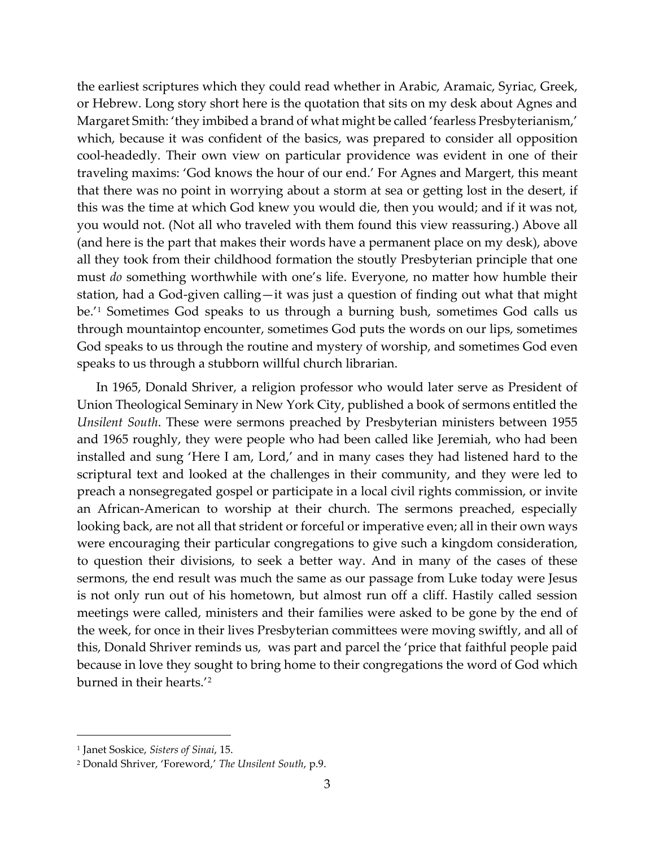the earliest scriptures which they could read whether in Arabic, Aramaic, Syriac, Greek, or Hebrew. Long story short here is the quotation that sits on my desk about Agnes and Margaret Smith: 'they imbibed a brand of what might be called 'fearless Presbyterianism,' which, because it was confident of the basics, was prepared to consider all opposition cool-headedly. Their own view on particular providence was evident in one of their traveling maxims: 'God knows the hour of our end.' For Agnes and Margert, this meant that there was no point in worrying about a storm at sea or getting lost in the desert, if this was the time at which God knew you would die, then you would; and if it was not, you would not. (Not all who traveled with them found this view reassuring.) Above all (and here is the part that makes their words have a permanent place on my desk), above all they took from their childhood formation the stoutly Presbyterian principle that one must *do* something worthwhile with one's life. Everyone, no matter how humble their station, had a God-given calling—it was just a question of finding out what that might be.'[1](#page-2-0) Sometimes God speaks to us through a burning bush, sometimes God calls us through mountaintop encounter, sometimes God puts the words on our lips, sometimes God speaks to us through the routine and mystery of worship, and sometimes God even speaks to us through a stubborn willful church librarian.

In 1965, Donald Shriver, a religion professor who would later serve as President of Union Theological Seminary in New York City, published a book of sermons entitled the *Unsilent South*. These were sermons preached by Presbyterian ministers between 1955 and 1965 roughly, they were people who had been called like Jeremiah, who had been installed and sung 'Here I am, Lord,' and in many cases they had listened hard to the scriptural text and looked at the challenges in their community, and they were led to preach a nonsegregated gospel or participate in a local civil rights commission, or invite an African-American to worship at their church. The sermons preached, especially looking back, are not all that strident or forceful or imperative even; all in their own ways were encouraging their particular congregations to give such a kingdom consideration, to question their divisions, to seek a better way. And in many of the cases of these sermons, the end result was much the same as our passage from Luke today were Jesus is not only run out of his hometown, but almost run off a cliff. Hastily called session meetings were called, ministers and their families were asked to be gone by the end of the week, for once in their lives Presbyterian committees were moving swiftly, and all of this, Donald Shriver reminds us, was part and parcel the 'price that faithful people paid because in love they sought to bring home to their congregations the word of God which burned in their hearts.'[2](#page-2-1)

<span id="page-2-0"></span><sup>1</sup> Janet Soskice, *Sisters of Sinai*, 15.

<span id="page-2-1"></span><sup>2</sup> Donald Shriver, 'Foreword,' *The Unsilent South*, p.9.